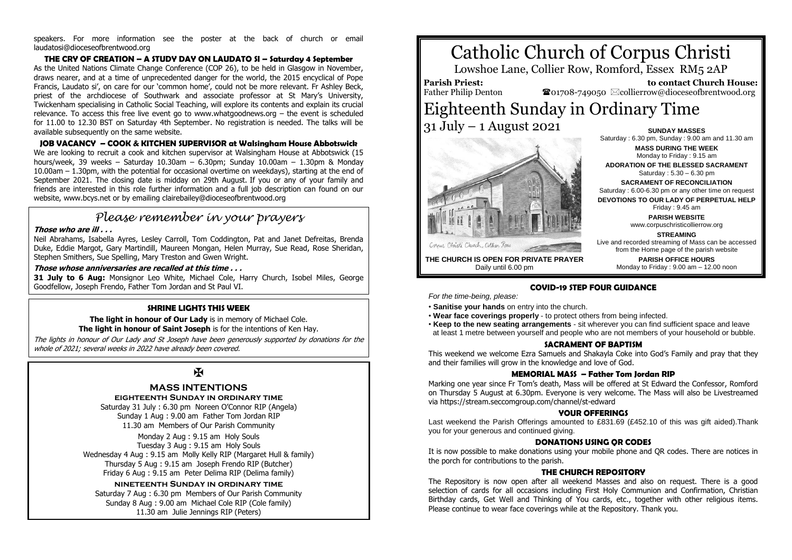speakers. For more information see the poster at the back of church or email laudatosi@dioceseofbrentwood.org

**THE CRY OF CREATION – A STUDY DAY ON LAUDATO SI – Saturday 4 September** As the United Nations Climate Change Conference (COP 26), to be held in Glasgow in November, draws nearer, and at a time of unprecedented danger for the world, the 2015 encyclical of Pope Francis, Laudato si', on care for our 'common home', could not be more relevant. Fr Ashley Beck, priest of the archdiocese of Southwark and associate professor at St Mary's University, Twickenham specialising in Catholic Social Teaching, will explore its contents and explain its crucial relevance. To access this free live event go to www.whatgoodnews.org – the event is scheduled for 11.00 to 12.30 BST on Saturday 4th September. No registration is needed. The talks will be available subsequently on the same website.

**JOB VACANCY – COOK & KITCHEN SUPERVISOR at Walsingham House Abbotswick** We are looking to recruit a cook and kitchen supervisor at Walsingham House at Abbotswick (15 hours/week, 39 weeks – Saturday 10.30am – 6.30pm; Sunday 10.00am – 1.30pm & Monday 10.00am – 1.30pm, with the potential for occasional overtime on weekdays), starting at the end of September 2021. The closing date is midday on 29th August. If you or any of your family and friends are interested in this role further information and a full job description can found on our website, www.bcys.net or by emailing clairebailey@dioceseofbrentwood.org

# *Please remember in your prayers*

#### **Those who are ill . . .**

Neil Abrahams, Isabella Ayres, Lesley Carroll, Tom Coddington, Pat and Janet Defreitas, Brenda Duke, Eddie Margot, Gary Martindill, Maureen Mongan, Helen Murray, Sue Read, Rose Sheridan, Stephen Smithers, Sue Spelling, Mary Treston and Gwen Wright.

#### **Those whose anniversaries are recalled at this time . . .**

**31 July to 6 Aug:** Monsignor Leo White, Michael Cole, Harry Church, Isobel Miles, George Goodfellow, Joseph Frendo, Father Tom Jordan and St Paul VI.

#### **SHRINE LIGHTS THIS WEEK**

**The light in honour of Our Lady** is in memory of Michael Cole. **The light in honour of Saint Joseph** is for the intentions of Ken Hay.

The lights in honour of Our Lady and St Joseph have been generously supported by donations for the whole of 2021; several weeks in 2022 have already been covered.

# $\overline{M}$

### **MASS INTENTIONS**

**eighteenth Sunday in ordinary time**

Saturday 31 July : 6.30 pm Noreen O'Connor RIP (Angela) Sunday 1 Aug : 9.00 am Father Tom Jordan RIP 11.30 am Members of Our Parish Community

Monday 2 Aug : 9.15 am Holy Souls Tuesday 3 Aug : 9.15 am Holy Souls Wednesday 4 Aug : 9.15 am Molly Kelly RIP (Margaret Hull & family) Thursday 5 Aug : 9.15 am Joseph Frendo RIP (Butcher) Friday 6 Aug : 9.15 am Peter Delima RIP (Delima family)

**nineteenth Sunday in ordinary time** Saturday 7 Aug : 6.30 pm Members of Our Parish Community Sunday 8 Aug : 9.00 am Michael Cole RIP (Cole family) 11.30 am Julie Jennings RIP (Peters)

# Catholic Church of Corpus Christi

Lowshoe Lane, Collier Row, Romford, Essex RM5 2AP

**Parish Priest:** Father Philip Denton

 **to contact Church House:**  $\bullet$ 01708-749050  $\boxtimes$ collierrow@dioceseofbrentwood.org

> Saturday : 6.30 pm, Sunday : 9.00 am and 11.30 am **MASS DURING THE WEEK** Monday to Friday : 9.15 am **ADORATION OF THE BLESSED SACRAMENT** Saturday : 5.30 – 6.30 pm **SACRAMENT OF RECONCILIATION** Saturday : 6.00-6.30 pm or any other time on request **DEVOTIONS TO OUR LADY OF PERPETUAL HELP** Friday : 9.45 am **PARISH WEBSITE** www.corpuschristicollierrow.org

## Eighteenth Sunday in Ordinary Time 31 July – 1 August 2021 **SUNDAY MASSES**



**STREAMING** Live and recorded streaming of Mass can be accessed from the Home page of the parish website **PARISH OFFICE HOURS** Monday to Friday : 9.00 am – 12.00 noon

**THE CHURCH IS OPEN FOR PRIVATE PRAYER** Daily until 6.00 pm

#### **COVID-19 STEP FOUR GUIDANCE**

*For the time-being, please:*

- **Sanitise your hands** on entry into the church.
- **Wear face coverings properly** to protect others from being infected.
- **Keep to the new seating arrangements** sit wherever you can find sufficient space and leave at least 1 metre between yourself and people who are not members of your household or bubble.

#### **SACRAMENT OF BAPTISM**

This weekend we welcome Ezra Samuels and Shakayla Coke into God's Family and pray that they and their families will grow in the knowledge and love of God.

#### **MEMORIAL MASS – Father Tom Jordan RIP**

Marking one year since Fr Tom's death, Mass will be offered at St Edward the Confessor, Romford on Thursday 5 August at 6.30pm. Everyone is very welcome. The Mass will also be Livestreamed via<https://stream.seccomgroup.com/channel/st-edward>

#### **YOUR OFFERINGS**

Last weekend the Parish Offerings amounted to £831.69 (£452.10 of this was gift aided).Thank you for your generous and continued giving.

#### **DONATIONS USING QR CODES**

It is now possible to make donations using your mobile phone and QR codes. There are notices in the porch for contributions to the parish.

#### **THE CHURCH REPOSITORY**

The Repository is now open after all weekend Masses and also on request. There is a good selection of cards for all occasions including First Holy Communion and Confirmation, Christian Birthday cards, Get Well and Thinking of You cards, etc., together with other religious items. Please continue to wear face coverings while at the Repository. Thank you.